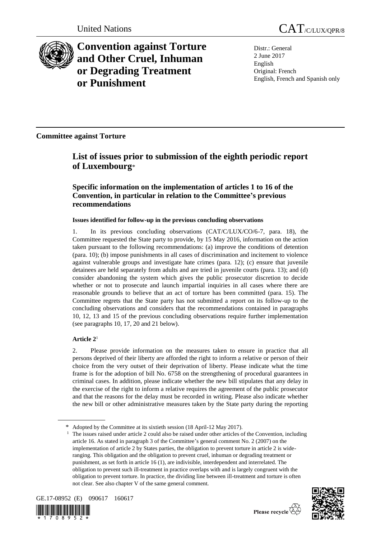

**Convention against Torture and Other Cruel, Inhuman or Degrading Treatment or Punishment**

Distr.: General 2 June 2017 English Original: French English, French and Spanish only

**Committee against Torture**

# **List of issues prior to submission of the eighth periodic report of Luxembourg**\*

# **Specific information on the implementation of articles 1 to 16 of the Convention, in particular in relation to the Committee's previous recommendations**

# **Issues identified for follow-up in the previous concluding observations**

1. In its previous concluding observations (CAT/C/LUX/CO/6-7, para. 18), the Committee requested the State party to provide, by 15 May 2016, information on the action taken pursuant to the following recommendations: (a) improve the conditions of detention (para. 10); (b) impose punishments in all cases of discrimination and incitement to violence against vulnerable groups and investigate hate crimes (para. 12); (c) ensure that juvenile detainees are held separately from adults and are tried in juvenile courts (para. 13); and (d) consider abandoning the system which gives the public prosecutor discretion to decide whether or not to prosecute and launch impartial inquiries in all cases where there are reasonable grounds to believe that an act of torture has been committed (para. 15). The Committee regrets that the State party has not submitted a report on its follow-up to the concluding observations and considers that the recommendations contained in paragraphs 10, 12, 13 and 15 of the previous concluding observations require further implementation (see paragraphs 10, 17, 20 and 21 below).

# **Article 2**<sup>1</sup>

2. Please provide information on the measures taken to ensure in practice that all persons deprived of their liberty are afforded the right to inform a relative or person of their choice from the very outset of their deprivation of liberty. Please indicate what the time frame is for the adoption of bill No. 6758 on the strengthening of procedural guarantees in criminal cases. In addition, please indicate whether the new bill stipulates that any delay in the exercise of the right to inform a relative requires the agreement of the public prosecutor and that the reasons for the delay must be recorded in writing. Please also indicate whether the new bill or other administrative measures taken by the State party during the reporting

<sup>1</sup> The issues raised under article 2 could also be raised under other articles of the Convention, including article 16. As stated in paragraph 3 of the Committee's general comment No. 2 (2007) on the implementation of article 2 by States parties, the obligation to prevent torture in article 2 is wideranging. This obligation and the obligation to prevent cruel, inhuman or degrading treatment or punishment, as set forth in article 16 (1), are indivisible, interdependent and interrelated. The obligation to prevent such ill-treatment in practice overlaps with and is largely congruent with the obligation to prevent torture. In practice, the dividing line between ill-treatment and torture is often not clear. See also chapter V of the same general comment.









Adopted by the Committee at its sixtieth session (18 April-12 May 2017).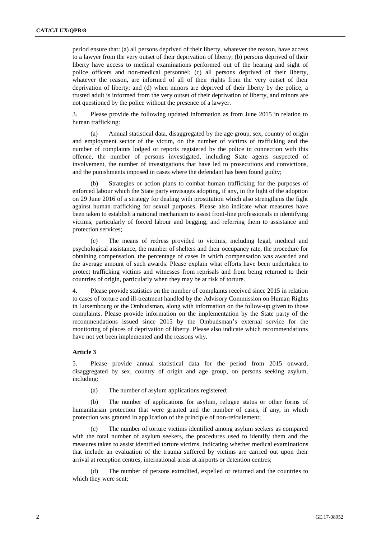period ensure that: (a) all persons deprived of their liberty, whatever the reason, have access to a lawyer from the very outset of their deprivation of liberty; (b) persons deprived of their liberty have access to medical examinations performed out of the hearing and sight of police officers and non-medical personnel; (c) all persons deprived of their liberty, whatever the reason, are informed of all of their rights from the very outset of their deprivation of liberty; and (d) when minors are deprived of their liberty by the police, a trusted adult is informed from the very outset of their deprivation of liberty, and minors are not questioned by the police without the presence of a lawyer.

3. Please provide the following updated information as from June 2015 in relation to human trafficking:

(a) Annual statistical data, disaggregated by the age group, sex, country of origin and employment sector of the victim, on the number of victims of trafficking and the number of complaints lodged or reports registered by the police in connection with this offence, the number of persons investigated, including State agents suspected of involvement, the number of investigations that have led to prosecutions and convictions, and the punishments imposed in cases where the defendant has been found guilty;

(b) Strategies or action plans to combat human trafficking for the purposes of enforced labour which the State party envisages adopting, if any, in the light of the adoption on 29 June 2016 of a strategy for dealing with prostitution which also strengthens the fight against human trafficking for sexual purposes. Please also indicate what measures have been taken to establish a national mechanism to assist front-line professionals in identifying victims, particularly of forced labour and begging, and referring them to assistance and protection services;

(c) The means of redress provided to victims, including legal, medical and psychological assistance, the number of shelters and their occupancy rate, the procedure for obtaining compensation, the percentage of cases in which compensation was awarded and the average amount of such awards. Please explain what efforts have been undertaken to protect trafficking victims and witnesses from reprisals and from being returned to their countries of origin, particularly when they may be at risk of torture.

4. Please provide statistics on the number of complaints received since 2015 in relation to cases of torture and ill-treatment handled by the Advisory Commission on Human Rights in Luxembourg or the Ombudsman, along with information on the follow-up given to those complaints. Please provide information on the implementation by the State party of the recommendations issued since 2015 by the Ombudsman's external service for the monitoring of places of deprivation of liberty. Please also indicate which recommendations have not yet been implemented and the reasons why.

#### **Article 3**

5. Please provide annual statistical data for the period from 2015 onward, disaggregated by sex, country of origin and age group, on persons seeking asylum, including:

(a) The number of asylum applications registered;

(b) The number of applications for asylum, refugee status or other forms of humanitarian protection that were granted and the number of cases, if any, in which protection was granted in application of the principle of non-refoulement;

The number of torture victims identified among asylum seekers as compared with the total number of asylum seekers, the procedures used to identify them and the measures taken to assist identified torture victims, indicating whether medical examinations that include an evaluation of the trauma suffered by victims are carried out upon their arrival at reception centres, international areas at airports or detention centres;

(d) The number of persons extradited, expelled or returned and the countries to which they were sent;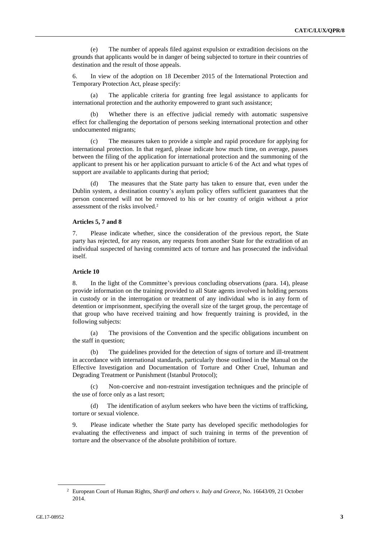(e) The number of appeals filed against expulsion or extradition decisions on the grounds that applicants would be in danger of being subjected to torture in their countries of destination and the result of those appeals.

6. In view of the adoption on 18 December 2015 of the International Protection and Temporary Protection Act, please specify:

(a) The applicable criteria for granting free legal assistance to applicants for international protection and the authority empowered to grant such assistance;

(b) Whether there is an effective judicial remedy with automatic suspensive effect for challenging the deportation of persons seeking international protection and other undocumented migrants;

(c) The measures taken to provide a simple and rapid procedure for applying for international protection. In that regard, please indicate how much time, on average, passes between the filing of the application for international protection and the summoning of the applicant to present his or her application pursuant to article 6 of the Act and what types of support are available to applicants during that period;

(d) The measures that the State party has taken to ensure that, even under the Dublin system, a destination country's asylum policy offers sufficient guarantees that the person concerned will not be removed to his or her country of origin without a prior assessment of the risks involved.<sup>2</sup>

# **Articles 5, 7 and 8**

7. Please indicate whether, since the consideration of the previous report, the State party has rejected, for any reason, any requests from another State for the extradition of an individual suspected of having committed acts of torture and has prosecuted the individual itself.

#### **Article 10**

8. In the light of the Committee's previous concluding observations (para. 14), please provide information on the training provided to all State agents involved in holding persons in custody or in the interrogation or treatment of any individual who is in any form of detention or imprisonment, specifying the overall size of the target group, the percentage of that group who have received training and how frequently training is provided, in the following subjects:

(a) The provisions of the Convention and the specific obligations incumbent on the staff in question;

(b) The guidelines provided for the detection of signs of torture and ill-treatment in accordance with international standards, particularly those outlined in the Manual on the Effective Investigation and Documentation of Torture and Other Cruel, Inhuman and Degrading Treatment or Punishment (Istanbul Protocol);

Non-coercive and non-restraint investigation techniques and the principle of the use of force only as a last resort;

(d) The identification of asylum seekers who have been the victims of trafficking, torture or sexual violence.

9. Please indicate whether the State party has developed specific methodologies for evaluating the effectiveness and impact of such training in terms of the prevention of torture and the observance of the absolute prohibition of torture.

<sup>2</sup> European Court of Human Rights, *Sharifi and others v. Italy and Greece*, No. 16643/09, 21 October 2014.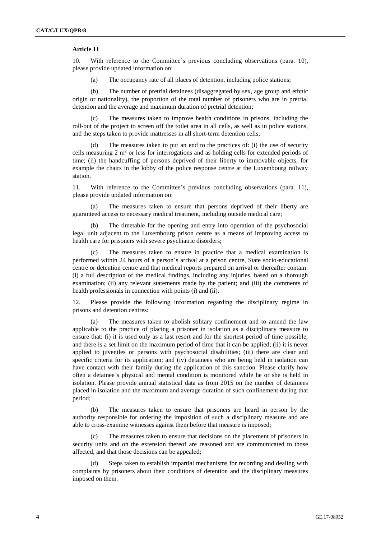# **Article 11**

10. With reference to the Committee's previous concluding observations (para. 10), please provide updated information on:

(a) The occupancy rate of all places of detention, including police stations;

(b) The number of pretrial detainees (disaggregated by sex, age group and ethnic origin or nationality), the proportion of the total number of prisoners who are in pretrial detention and the average and maximum duration of pretrial detention;

(c) The measures taken to improve health conditions in prisons, including the roll-out of the project to screen off the toilet area in all cells, as well as in police stations, and the steps taken to provide mattresses in all short-term detention cells;

(d) The measures taken to put an end to the practices of: (i) the use of security cells measuring 2  $m<sup>2</sup>$  or less for interrogations and as holding cells for extended periods of time; (ii) the handcuffing of persons deprived of their liberty to immovable objects, for example the chairs in the lobby of the police response centre at the Luxembourg railway station.

11. With reference to the Committee's previous concluding observations (para. 11), please provide updated information on:

(a) The measures taken to ensure that persons deprived of their liberty are guaranteed access to necessary medical treatment, including outside medical care;

The timetable for the opening and entry into operation of the psychosocial legal unit adjacent to the Luxembourg prison centre as a means of improving access to health care for prisoners with severe psychiatric disorders;

(c) The measures taken to ensure in practice that a medical examination is performed within 24 hours of a person's arrival at a prison centre, State socio-educational centre or detention centre and that medical reports prepared on arrival or thereafter contain: (i) a full description of the medical findings, including any injuries, based on a thorough examination; (ii) any relevant statements made by the patient; and (iii) the comments of health professionals in connection with points (i) and (ii).

12. Please provide the following information regarding the disciplinary regime in prisons and detention centres:

(a) The measures taken to abolish solitary confinement and to amend the law applicable to the practice of placing a prisoner in isolation as a disciplinary measure to ensure that: (i) it is used only as a last resort and for the shortest period of time possible, and there is a set limit on the maximum period of time that it can be applied; (ii) it is never applied to juveniles or persons with psychosocial disabilities; (iii) there are clear and specific criteria for its application; and (iv) detainees who are being held in isolation can have contact with their family during the application of this sanction. Please clarify how often a detainee's physical and mental condition is monitored while he or she is held in isolation. Please provide annual statistical data as from 2015 on the number of detainees placed in isolation and the maximum and average duration of such confinement during that period;

(b) The measures taken to ensure that prisoners are heard in person by the authority responsible for ordering the imposition of such a disciplinary measure and are able to cross-examine witnesses against them before that measure is imposed;

(c) The measures taken to ensure that decisions on the placement of prisoners in security units and on the extension thereof are reasoned and are communicated to those affected, and that those decisions can be appealed;

(d) Steps taken to establish impartial mechanisms for recording and dealing with complaints by prisoners about their conditions of detention and the disciplinary measures imposed on them.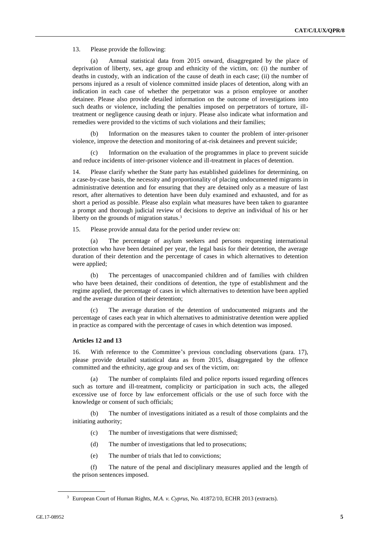13. Please provide the following:

(a) Annual statistical data from 2015 onward, disaggregated by the place of deprivation of liberty, sex, age group and ethnicity of the victim, on: (i) the number of deaths in custody, with an indication of the cause of death in each case; (ii) the number of persons injured as a result of violence committed inside places of detention, along with an indication in each case of whether the perpetrator was a prison employee or another detainee. Please also provide detailed information on the outcome of investigations into such deaths or violence, including the penalties imposed on perpetrators of torture, illtreatment or negligence causing death or injury. Please also indicate what information and remedies were provided to the victims of such violations and their families;

(b) Information on the measures taken to counter the problem of inter-prisoner violence, improve the detection and monitoring of at-risk detainees and prevent suicide;

Information on the evaluation of the programmes in place to prevent suicide and reduce incidents of inter-prisoner violence and ill-treatment in places of detention.

14. Please clarify whether the State party has established guidelines for determining, on a case-by-case basis, the necessity and proportionality of placing undocumented migrants in administrative detention and for ensuring that they are detained only as a measure of last resort, after alternatives to detention have been duly examined and exhausted, and for as short a period as possible. Please also explain what measures have been taken to guarantee a prompt and thorough judicial review of decisions to deprive an individual of his or her liberty on the grounds of migration status.<sup>3</sup>

15. Please provide annual data for the period under review on:

(a) The percentage of asylum seekers and persons requesting international protection who have been detained per year, the legal basis for their detention, the average duration of their detention and the percentage of cases in which alternatives to detention were applied;

(b) The percentages of unaccompanied children and of families with children who have been detained, their conditions of detention, the type of establishment and the regime applied, the percentage of cases in which alternatives to detention have been applied and the average duration of their detention;

(c) The average duration of the detention of undocumented migrants and the percentage of cases each year in which alternatives to administrative detention were applied in practice as compared with the percentage of cases in which detention was imposed.

#### **Articles 12 and 13**

16. With reference to the Committee's previous concluding observations (para. 17), please provide detailed statistical data as from 2015, disaggregated by the offence committed and the ethnicity, age group and sex of the victim, on:

(a) The number of complaints filed and police reports issued regarding offences such as torture and ill-treatment, complicity or participation in such acts, the alleged excessive use of force by law enforcement officials or the use of such force with the knowledge or consent of such officials;

(b) The number of investigations initiated as a result of those complaints and the initiating authority;

- (c) The number of investigations that were dismissed;
- (d) The number of investigations that led to prosecutions;
- (e) The number of trials that led to convictions;

(f) The nature of the penal and disciplinary measures applied and the length of the prison sentences imposed.

<sup>3</sup> European Court of Human Rights, *M.A. v. Cyprus*, No. 41872/10, ECHR 2013 (extracts).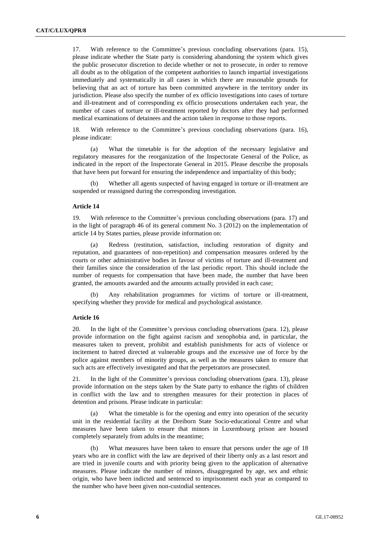17. With reference to the Committee's previous concluding observations (para. 15), please indicate whether the State party is considering abandoning the system which gives the public prosecutor discretion to decide whether or not to prosecute, in order to remove all doubt as to the obligation of the competent authorities to launch impartial investigations immediately and systematically in all cases in which there are reasonable grounds for believing that an act of torture has been committed anywhere in the territory under its jurisdiction. Please also specify the number of ex officio investigations into cases of torture and ill-treatment and of corresponding ex officio prosecutions undertaken each year, the number of cases of torture or ill-treatment reported by doctors after they had performed medical examinations of detainees and the action taken in response to those reports.

18. With reference to the Committee's previous concluding observations (para. 16), please indicate:

(a) What the timetable is for the adoption of the necessary legislative and regulatory measures for the reorganization of the Inspectorate General of the Police, as indicated in the report of the Inspectorate General in 2015. Please describe the proposals that have been put forward for ensuring the independence and impartiality of this body;

(b) Whether all agents suspected of having engaged in torture or ill-treatment are suspended or reassigned during the corresponding investigation.

## **Article 14**

19. With reference to the Committee's previous concluding observations (para. 17) and in the light of paragraph 46 of its general comment No. 3 (2012) on the implementation of article 14 by States parties, please provide information on:

(a) Redress (restitution, satisfaction, including restoration of dignity and reputation, and guarantees of non-repetition) and compensation measures ordered by the courts or other administrative bodies in favour of victims of torture and ill-treatment and their families since the consideration of the last periodic report. This should include the number of requests for compensation that have been made, the number that have been granted, the amounts awarded and the amounts actually provided in each case;

(b) Any rehabilitation programmes for victims of torture or ill-treatment, specifying whether they provide for medical and psychological assistance.

#### **Article 16**

20. In the light of the Committee's previous concluding observations (para. 12), please provide information on the fight against racism and xenophobia and, in particular, the measures taken to prevent, prohibit and establish punishments for acts of violence or incitement to hatred directed at vulnerable groups and the excessive use of force by the police against members of minority groups, as well as the measures taken to ensure that such acts are effectively investigated and that the perpetrators are prosecuted.

21. In the light of the Committee's previous concluding observations (para. 13), please provide information on the steps taken by the State party to enhance the rights of children in conflict with the law and to strengthen measures for their protection in places of detention and prisons. Please indicate in particular:

What the timetable is for the opening and entry into operation of the security unit in the residential facility at the Dreiborn State Socio-educational Centre and what measures have been taken to ensure that minors in Luxembourg prison are housed completely separately from adults in the meantime;

(b) What measures have been taken to ensure that persons under the age of 18 years who are in conflict with the law are deprived of their liberty only as a last resort and are tried in juvenile courts and with priority being given to the application of alternative measures. Please indicate the number of minors, disaggregated by age, sex and ethnic origin, who have been indicted and sentenced to imprisonment each year as compared to the number who have been given non-custodial sentences.